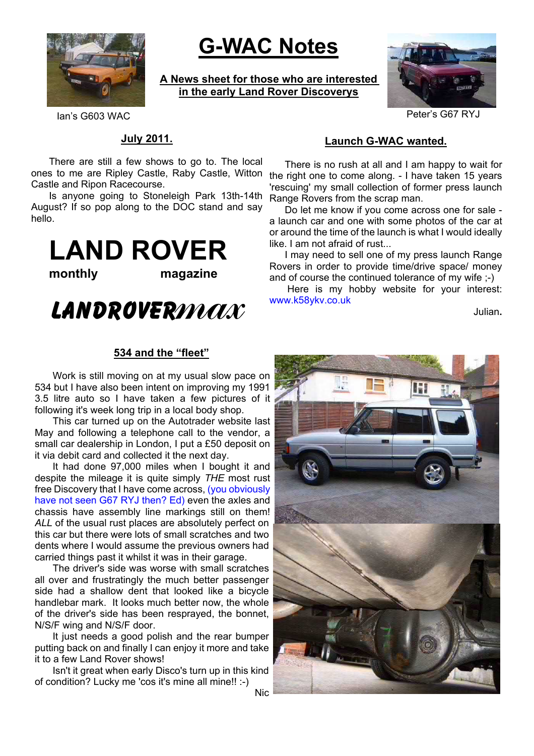

# **G-WAC Notes**

**A News sheet for those who are interested in the early Land Rover Discoverys**



Ian's G603 WAC Peter's G67 RYJ

#### **July 2011.**

ones to me are Ripley Castle, Raby Castle, Witton the right one to come along. - I have taken 15 years There are still a few shows to go to. The local Castle and Ripon Racecourse.

Is anyone going to Stoneleigh Park 13th-14th August? If so pop along to the DOC stand and say hello.

**LAND ROVER**

**monthly magazine**

# **LandRover**max

#### **534 and the "fleet"**

Work is still moving on at my usual slow pace on 534 but I have also been intent on improving my 1991 3.5 litre auto so I have taken a few pictures of it following it's week long trip in a local body shop.

This car turned up on the Autotrader website last May and following a telephone call to the vendor, a small car dealership in London, I put a £50 deposit on it via debit card and collected it the next day.

It had done 97,000 miles when I bought it and despite the mileage it is quite simply *THE* most rust free Discovery that I have come across, (you obviously have not seen G67 RYJ then? Ed) even the axles and chassis have assembly line markings still on them! *ALL* of the usual rust places are absolutely perfect on this car but there were lots of small scratches and two dents where I would assume the previous owners had carried things past it whilst it was in their garage.

The driver's side was worse with small scratches all over and frustratingly the much better passenger side had a shallow dent that looked like a bicycle handlebar mark. It looks much better now, the whole of the driver's side has been resprayed, the bonnet, N/S/F wing and N/S/F door.

It just needs a good polish and the rear bumper putting back on and finally I can enjoy it more and take it to a few Land Rover shows!

Isn't it great when early Disco's turn up in this kind of condition? Lucky me 'cos it's mine all mine!! :-)

Nic

### **Launch G-WAC wanted.**

There is no rush at all and I am happy to wait for 'rescuing' my small collection of former press launch Range Rovers from the scrap man.

Do let me know if you come across one for sale a launch car and one with some photos of the car at or around the time of the launch is what I would ideally like. I am not afraid of rust...

I may need to sell one of my press launch Range Rovers in order to provide time/drive space/ money and of course the continued tolerance of my wife ;-)

Here is my hobby website for your interest: www.k58ykv.co.uk

Julian**.**

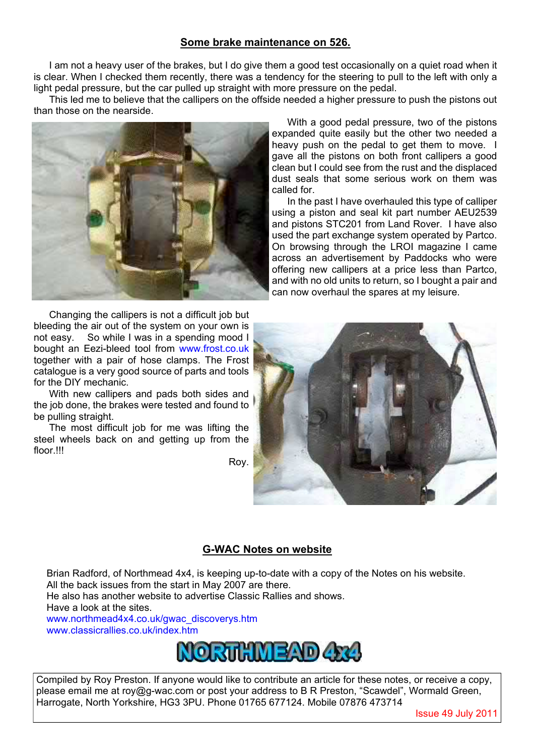### **Some brake maintenance on 526.**

I am not a heavy user of the brakes, but I do give them a good test occasionally on a quiet road when it is clear. When I checked them recently, there was a tendency for the steering to pull to the left with only a light pedal pressure, but the car pulled up straight with more pressure on the pedal.

This led me to believe that the callipers on the offside needed a higher pressure to push the pistons out than those on the nearside.



Changing the callipers is not a difficult job but bleeding the air out of the system on your own is not easy. So while I was in a spending mood I bought an Eezi-bleed tool from www.frost.co.uk together with a pair of hose clamps. The Frost catalogue is a very good source of parts and tools for the DIY mechanic.

With new callipers and pads both sides and the job done, the brakes were tested and found to be pulling straight.

The most difficult job for me was lifting the steel wheels back on and getting up from the floor.<sup>III</sup>

Roy.

With a good pedal pressure, two of the pistons expanded quite easily but the other two needed a heavy push on the pedal to get them to move. I gave all the pistons on both front callipers a good clean but I could see from the rust and the displaced dust seals that some serious work on them was called for.

In the past I have overhauled this type of calliper using a piston and seal kit part number AEU2539 and pistons STC201 from Land Rover. I have also used the part exchange system operated by Partco. On browsing through the LROI magazine I came across an advertisement by Paddocks who were offering new callipers at a price less than Partco, and with no old units to return, so I bought a pair and can now overhaul the spares at my leisure.



#### **G-WAC Notes on website**

Brian Radford, of Northmead 4x4, is keeping up-to-date with a copy of the Notes on his website. All the back issues from the start in May 2007 are there.

He also has another website to advertise Classic Rallies and shows.

Have a look at the sites.

www.northmead4x4.co.uk/gwac\_discoverys.htm www.classicrallies.co.uk/index.htm



Compiled by Roy Preston. If anyone would like to contribute an article for these notes, or receive a copy, please email me at roy@g-wac.com or post your address to B R Preston, "Scawdel", Wormald Green, Harrogate, North Yorkshire, HG3 3PU. Phone 01765 677124. Mobile 07876 473714

Issue 49 July 2011